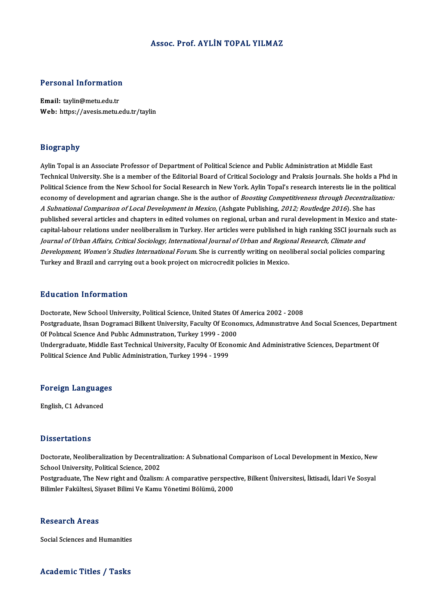### Assoc. Prof. AYLİN TOPAL YILMAZ

# Personal Information

Personal Information<br>Email: taylin@metu.edu.tr<br>Web: https://avesis.metu.e Email: taylin@metu.edu.tr<br>Web: https://avesis.metu.edu.tr/taylin

### Biography

Aylin Topal is an Associate Professor of Department of Political Science and Public Administration at Middle East Technical University. She is a member of the Editorial Board of Critical Sociology and Praksis Journals. She holds a Phd in Aylin Topal is an Associate Professor of Department of Political Science and Public Administration at Middle East<br>Technical University. She is a member of the Editorial Board of Critical Sociology and Praksis Journals. She Technical University. She is a member of the Editorial Board of Critical Sociology and Praksis Journals. She holds a Phd in<br>Political Science from the New School for Social Research in New York. Aylin Topal's research inte Political Science from the New School for Social Research in New York. Aylin Topal's research interests lie in the p<br>economy of development and agrarian change. She is the author of *Boosting Competitiveness through Decent* economy of development and agrarian change. She is the author of *Boosting Competitiveness through Decentralization:*<br>*A Subnational Comparison of Local Development in Mexico*, (Ashgate Publishing, *2012; Routledge 2016*). *A Subnational Comparison of Local Development in Mexico*, (Ashgate Publishing*, 2012; Routledge 2016*). She has<br>published several articles and chapters in edited volumes on regional, urban and rural development in Mexico Journal of Urban Affairs, Critical Sociology, International Journal of Urban and Regional Research, Climate and capital-labour relations under neoliberalism in Turkey. Her articles were published in high ranking SSCI journals such<br>Jo*urnal of Urban Affairs, Critical Sociology, International Journal of Urban and Regional Research, Cl Journal of Urban Affairs, Critical Sociology, International Journal of Urban and Regio.<br>Development, Women's Studies International Forum*. She is currently writing on neo<br>Turkey and Brazil and carrying out a book project Turkey and Brazil and carrying out a book project on microcredit policies in Mexico.<br>Education Information

Education Information<br>Doctorate, New School University, Political Science, United States Of America 2002 - 2008<br>Postsraduate Jhson Dogramaci Billent University, Faculty Of Essaggues, Admustratys A Pula Sacron Throt Inderon<br>Doctorate, New School University, Political Science, United States Of America 2002 - 2008<br>Postgraduate, Ihsan Dogramaci Bilkent University, Faculty Of Economics, Administrative And Social Sciences Doctorate, New School University, Political Science, United States Of<br>Postgraduate, Ihsan Dogramaci Bilkent University, Faculty Of Econo<br>Of Political Science And Public Administration, Turkey 1999 - 2000<br>Undergraduate Midd Postgraduate, Ihsan Dogramaci Bilkent University, Faculty Of Economics, Administrative And Social Sciences, Depar<br>Of Political Science And Public Administration, Turkey 1999 - 2000<br>Undergraduate, Middle East Technical Univ Of Political Science And Public Administration, Turkey 1999 - 2000<br>Undergraduate, Middle East Technical University, Faculty Of Economic And Administrative Sciences, Department Of<br>Political Science And Public Administration

### ronucal science And Pub<br>Foreign Languages F<mark>oreign Languag</mark>e<br>English, C1 Advanced

English, C1 Advanced<br>Dissertations

Dissertations<br>Doctorate, Neoliberalization by Decentralization: A Subnational Comparison of Local Development in Mexico, New<br>School University, Political Science, 2002 Basser carrerie<br>Doctorate, Neoliberalization by Decentral<br>School University, Political Science, 2002<br>Postanaduate, The New right and Özelism Doctorate, Neoliberalization by Decentralization: A Subnational Comparison of Local Development in Mexico, New<br>School University, Political Science, 2002<br>Postgraduate, The New right and Özalism: A comparative perspective,

School University, Political Science, 2002<br>Postgraduate, The New right and Özalism: A comparative perspective, Bilkent Üniversitesi, İktisadi, İdari Ve Sosyal<br>Bilimler Fakültesi, Siyaset Bilimi Ve Kamu Yönetimi Bölümü, 200

### **Research Areas**

Social Sciences and Humanities

### Academic Titles / Tasks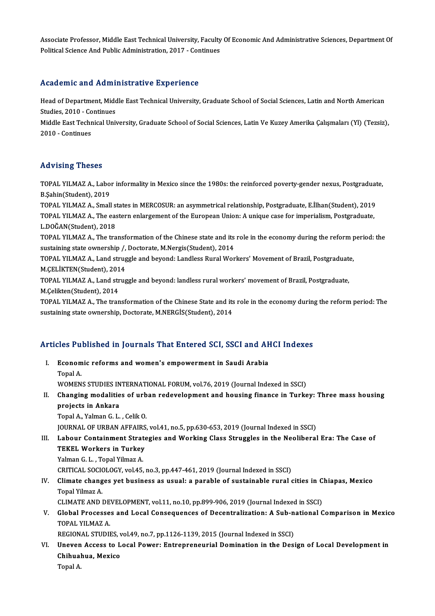Associate Professor, Middle East Technical University, Faculty Of Economic And Administrative Sciences, Department Of<br>Political Science And Public Administration 2017, Continues Associate Professor, Middle East Technical University, Faculty<br>Political Science And Public Administration, 2017 - Continues

## Political Science And Public Administration, 2017 - Continues<br>Academic and Administrative Experience

Academic and Administrative Experience<br>Head of Department, Middle East Technical University, Graduate School of Social Sciences, Latin and North American<br>Studies 2010, Continues Mead of Department, Mide<br>Studies, 2010 - Continues<br>Middle Feet Technical Unit Head of Department, Middle East Technical University, Graduate School of Social Sciences, Latin and North American<br>Studies, 2010 - Continues<br>Middle East Technical University, Graduate School of Social Sciences, Latin Ve Ku

Studies, 2010 - Co<br>Middle East Techr<br>2010 - Continues

## 2010 - Continues<br>Advising Theses

Advising Theses<br>TOPAL YILMAZ A., Labor informality in Mexico since the 1980s: the reinforced poverty-gender nexus, Postgraduate,<br>R.Schin(Student), 2019 TOPAL YILMAZ A., Labo<br>B.Şahin(Student), 2019<br>TOPAL YILMAZ A. Small TOPAL YILMAZ A., Labor informality in Mexico since the 1980s: the reinforced poverty-gender nexus, Postgraduat<br>B.Şahin(Student), 2019<br>TOPAL YILMAZ A., Small states in MERCOSUR: an asymmetrical relationship, Postgraduate, E

B.Şahin(Student), 2019<br>TOPAL YILMAZ A., Small states in MERCOSUR: an asymmetrical relationship, Postgraduate, E.İlhan(Student), 2019<br>TOPAL YILMAZ A., The eastern enlargement of the European Union: A unique case for imperia TOPAL YILMAZ A., Small s<br>TOPAL YILMAZ A., The eas<br>L.DOĞAN(Student), 2018<br>TOPAL YILMAZ A., The tra TOPAL YILMAZ A., The eastern enlargement of the European Union: A unique case for imperialism, Postgraduate,<br>L.DOĞAN(Student), 2018<br>TOPAL YILMAZ A., The transformation of the Chinese state and its role in the economy durin

L.DOĞAN(Student), 2018<br>TOPAL YILMAZ A., The transformation of the Chinese state and its<br>sustaining state ownership /, Doctorate, M.Nergis(Student), 2014<br>TOPAL YU MAZ A. Land struggle and beyond: Landless Bural Wen TOPAL YILMAZ A., The transformation of the Chinese state and its role in the economy during the reform p<br>sustaining state ownership /, Doctorate, M.Nergis(Student), 2014<br>TOPAL YILMAZ A., Land struggle and beyond: Landless

sustaining state ownership /,<br>TOPAL YILMAZ A., Land strug<br>M.ÇELİKTEN(Student), 2014<br>TOPAL YILMAZ A. Land strug TOPAL YILMAZ A., Land struggle and beyond: Landless Rural Workers' Movement of Brazil, Postgraduat<br>M.ÇELİKTEN(Student), 2014<br>TOPAL YILMAZ A., Land struggle and beyond: landless rural workers' movement of Brazil, Postgradua

M.ÇELİKTEN(Student), 2014<br>TOPAL YILMAZ A., Land struggle and beyond: landless rural workers' movement of Brazil, Postgraduate,<br>M.Çelikten(Student), 2014 TOPAL YILMAZ A., Land struggle and beyond: landless rural workers' movement of Brazil, Postgraduate,<br>M.Çelikten(Student), 2014<br>TOPAL YILMAZ A., The transformation of the Chinese State and its role in the economy during the

M.Çelikten(Student), 2014<br>TOPAL YILMAZ A., The transformation of the Chinese State and its<br>sustaining state ownership, Doctorate, M.NERGİS(Student), 2014

# sustaining state ownership, Doctorate, M.NERGIS(Student), 2014<br>Articles Published in Journals That Entered SCI, SSCI and AHCI Indexes

rticles Published in Journals That Entered SCI, SSCI and AF<br>I. Economic reforms and women's empowerment in Saudi Arabia<br>Topel A I. Economic reforms and women's empowerment in Saudi Arabia<br>Topal A.

WOMENS STUDIES INTERNATIONAL FORUM, vol.76, 2019 (Journal Indexed in SSCI)

Topal A.<br>WOMENS STUDIES INTERNATIONAL FORUM, vol.76, 2019 (Journal Indexed in SSCI)<br>II. Changing modalities of urban redevelopment and housing finance in Turkey: Three mass housing<br>projects in Ankare WOMENS STUDIES IN<br>Changing modalitie<br>projects in Ankara<br>Topal A. Valman G. L Changing modalities of urb<br>projects in Ankara<br>Topal A., Yalman G. L. , Celik O.<br>JOUPMAL OF UPPAN AFFAIRS projects in Ankara<br>Topal A., Yalman G. L. , Celik O.<br>JOURNAL OF URBAN AFFAIRS, vol.41, no.5, pp.630-653, 2019 (Journal Indexed in SSCI)<br>Labour Containment Strategies and Working Class Struggles in the Neoliberal

### Topal A., Yalman G. L. , Celik O.<br>JOURNAL OF URBAN AFFAIRS, vol.41, no.5, pp.630-653, 2019 (Journal Indexed in SSCI)<br>III. Labour Containment Strategies and Working Class Struggles in the Neoliberal Era: The Case of<br>TEK **JOURNAL OF URBAN AFFAIRS<br>Labour Containment Strate<br>TEKEL Workers in Turkey**<br>Valman C. L. Tonal Vilman A Labour Containment Strat<br>TEKEL Workers in Turkey<br>Yalman G.L., Topal Yilmaz A.<br>CPITICAL SOCIOLOCY vel 45 TEKEL Workers in Turkey<br>Yalman G. L. , Topal Yilmaz A.<br>CRITICAL SOCIOLOGY, vol.45, no.3, pp.447-461, 2019 (Journal Indexed in SSCI)<br>Climate changes ust business as usual: a parable of sustainable nural (

### Yalman G. L. , Topal Yilmaz A.<br>CRITICAL SOCIOLOGY, vol.45, no.3, pp.447-461, 2019 (Journal Indexed in SSCI)<br>IV. Climate changes yet business as usual: a parable of sustainable rural cities in Chiapas, Mexico<br>Topal Vilm CRITICAL SOCIO<br>Climate chang<br>Topal Yilmaz A.<br>CLIMATE AND L Climate changes yet business as usual: a parable of sustainable rural cities in C<br>Topal Yilmaz A.<br>CLIMATE AND DEVELOPMENT, vol.11, no.10, pp.899-906, 2019 (Journal Indexed in SSCI)<br>Clabel Processes and Lessl Consequences o

CLIMATE AND DEVELOPMENT, vol.11, no.10, pp.899-906, 2019 (Journal Indexed in SSCI)

Topal Yilmaz A.<br>CLIMATE AND DEVELOPMENT, vol.11, no.10, pp.899-906, 2019 (Journal Indexed in SSCI)<br>V. Global Processes and Local Consequences of Decentralization: A Sub-national Comparison in Mexico<br>TOPAL YILMAZ A. Global Processes and Local Consequences of Decentralization: A Sub-n<br>TOPAL YILMAZ A.<br>REGIONAL STUDIES, vol.49, no.7, pp.1126-1139, 2015 (Journal Indexed in SSCI)<br>Uneven Assess to Losal Boycay, Entrepreneuvial Domination in

TOPAL YILMAZ A.<br>REGIONAL STUDIES, vol.49, no.7, pp.1126-1139, 2015 (Journal Indexed in SSCI)<br>VI. Uneven Access to Local Power: Entrepreneurial Domination in the Design of Local Development in<br>Chihuahua Mariae REGIONAL STUDIES, v<br>Uneven Access to L<br>Chihuahua, Mexico<br>Topal A Une<mark>ven</mark><br>Chihual<br>Topal A.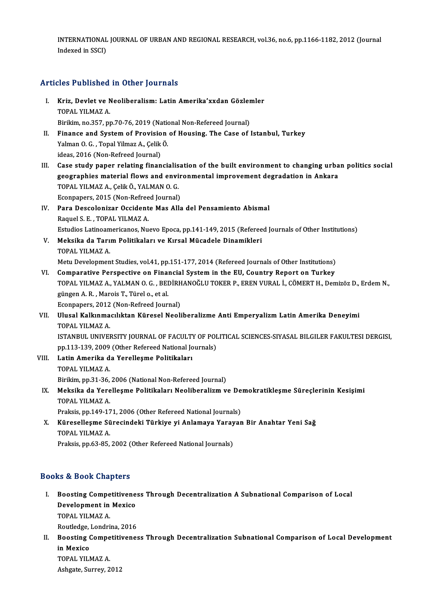INTERNATIONAL JOURNAL OF URBAN AND REGIONAL RESEARCH, vol.36, no.6, pp.1166-1182, 2012 (Journal INTERNATIONAL<br>Indexed in SSCI)

## Articles Published in Other Journals

rticles Published in Other Journals<br>I. Kriz, Devlet ve Neoliberalism: Latin Amerika'xxdan Gözlemler<br>TOPAL VILMAZ A X<sub>1</sub><br>Topal Yilmaz<br>Topal Yilmaz A.<br>Pirikim no <sup>257</sup> ni Kriz, Devlet ve Neoliberalism: Latin Amerika'xxdan Gözler<br>TOPAL YILMAZ A.<br>Birikim, no.357, pp.70-76, 2019 (National Non-Refereed Journal)<br>Finance and System of Provision of Housing, The Case of i TOPAL YILMAZ A.<br>Birikim, no.357, pp.70-76, 2019 (National Non-Refereed Journal)<br>II. Finance and System of Provision of Housing. The Case of Istanbul, Turkey<br>Yalman O. G. , Topal Yilmaz A., Celik Ö. Birikim, no.357, pp.70-76, 2019 (National<br>Finance and System of Provision<br>Yalman O. G. , Topal Yilmaz A., Çelik Ö. ideas,2016 (Non-Refreed Journal) I Valman O. G. , Topal Yilmaz A., Çelik Ö.<br>II. Case study paper relating financialisation of the built environment to changing urban politics social<br>The Case study paper relating financialisation of the built environment d ideas, 2016 (Non-Refreed Journal)<br>Case study paper relating financialisation of the built environment to changing urba<br>geographies material flows and environmental improvement degradation in Ankara<br>TORAL VU MAZ A. ColikÖ, Case study paper relating financialis<br>geographies material flows and envi<br>TOPAL YILMAZ A., Çelik Ö., YALMAN O. G.<br>Feonnanors 2015 (Non Befreed Journal) geographies material flows and environmental improvement degradation in Ankara<br>TOPAL YILMAZ A., Çelik Ö., YALMAN O. G. IV. Para Descolonizar Occidente Mas Alla del Pensamiento Abismal<br>Raquel S. E., TOPAL YILMAZ A. Econpapers, 2015 (Non-Refreed Journal) Para Descolonizar Occidente Mas Alla del Pensamiento Abismal<br>Raquel S. E. , TOPAL YILMAZ A.<br>Estudios Latinoamericanos, Nuevo Epoca, pp.141-149, 2015 (Refereed Journals of Other Institutions)<br>Maksika da Tarum Balitikalary v V. Meksika da Tarım Politikaları ve Kırsal Mücadele Dinamikleri<br>TOPAL YILMAZ A. Estudios Latinoam<br><mark>Meksika da Tarı</mark><br>TOPAL YILMAZ A.<br>Metu Develenmen Meksika da Tarım Politikaları ve Kırsal Mücadele Dinamikleri<br>TOPAL YILMAZ A.<br>Metu Development Studies, vol.41, pp.151-177, 2014 (Refereed Journals of Other Institutions)<br>Comparative Perspective on Einancial System in the E TOPAL YILMAZ A.<br>Metu Development Studies, vol.41, pp.151-177, 2014 (Refereed Journals of Other Institutions)<br>VI. Comparative Perspective on Financial System in the EU, Country Report on Turkey<br>TOPAL VILMAZ A. VALMAN O.C. P Metu Development Studies, vol.41, pp.151-177, 2014 (Refereed Journals of Other Institutions)<br>Comparative Perspective on Financial System in the EU, Country Report on Turkey<br>TOPAL YILMAZ A., YALMAN O. G. , BEDİRHANOĞLU TOKE VI. Comparative Perspective on Financial System in the EU, Country Report on Turkey<br>TOPAL YILMAZ A., YALMAN O. G., BEDİRHANOĞLU TOKER P., EREN VURAL İ., CÖMERT H., Den<br>güngen A. R., Marois T., Türel o., et al.<br>Econpapers, TOPAL YILMAZ A., YALMAN O. G. , BEDİRH<br>güngen A. R. , Marois T., Türel o., et al.<br>Econpapers, 2012 (Non-Refreed Journal)<br>Ulusel Kalkınmasılıktan Küresel Neoli güngen A. R. , Marois T., Türel o., et al.<br>Econpapers, 2012 (Non-Refreed Journal)<br>VII. Ulusal Kalkınmacılıktan Küresel Neoliberalizme Anti Emperyalizm Latin Amerika Deneyimi<br>TOPAL YU M47 A Econpapers, 2012<br>Ulusal Kalkınma<br>TOPAL YILMAZ A.<br>ISTANPUL UNIVEL Ulusal Kalkınmacılıktan Küresel Neoliberalizme Anti Emperyalizm Latin Amerika Deneyimi<br>TOPAL YILMAZ A.<br>ISTANBUL UNIVERSITY JOURNAL OF FACULTY OF POLITICAL SCIENCES-SIYASAL BILGILER FAKULTESI DERGISI,<br>nn 112 129, 2009 (Othe TOPAL YILMAZ A.<br>ISTANBUL UNIVERSITY JOURNAL OF FACULTY OF POI<br>pp.113-139, 2009 (Other Refereed National Journals)<br>Latin Amerike de Verellesme Bolitikelery ISTANBUL UNIVERSITY JOURNAL OF FACULTY OF POLITICAL SCIENCES-SIYASAL BILGILER FAKULTESI DERGISI,<br>pp.113-139, 2009 (Other Refereed National Journals)<br>VIII. Latin Amerika da Yerelleşme Politikaları<br>TOPAL YILMAZ A. pp.113-139, 2009<br>Latin Amerika d<br>TOPAL YILMAZ A.<br><sup>Pirilrim</sup>. pp.<sup>21, 26</sup>. Birikim, pp.31-36, 2006 (National Non-Refereed Journal) TOPAL YILMAZ A.<br>Birikim, pp.31-36, 2006 (National Non-Refereed Journal)<br>IX. Meksika da Yerelleşme Politikaları Neoliberalizm ve Demokratikleşme Süreçlerinin Kesişimi<br>TOPAL YU MAZ A Birikim, pp.31-36,<br>Meksika da Yere<br>TOPAL YILMAZ A.<br>Preksis pp.149.13 Meksika da Yerelleşme Politikaları Neoliberalizm ve De<br>TOPAL YILMAZ A.<br>Praksis, pp.149-171, 2006 (Other Refereed National Journals)<br>Küresellesme Süresindeki Türkiye vi Anlamaya Varayar TOPAL YILMAZ A.<br>Praksis, pp.149-171, 2006 (Other Refereed National Journals)<br>X. Küreselleşme Sürecindeki Türkiye yi Anlamaya Yarayan Bir Anahtar Yeni Sağ<br>TOPAL YILMAZ A. Praksis, pp.149-171, 2006 (Other Refereed National Journals) Praksis, pp.63-85, 2002 (Other Refereed National Journals)

### Books&Book Chapters

I. Boosting Competitiveness Through Decentralization A Subnational Comparison of Local **Boosting Competitivene**<br>Boosting Competitivene<br>Development in Mexico<br>TOBAL VILMAZ A Boosting Compe<br>Development in<br>TOPAL YILMAZ A.<br>Poutledge Londri Development in Mexico<br>TOPAL YILMAZ A.<br>Routledge, Londrina, 2016<br>Boosting Competitivenes

TOPAL YILMAZ A.<br>Routledge, Londrina, 2016<br>II. Boosting Competitiveness Through Decentralization Subnational Comparison of Local Development<br>in Marise Routledge,<br>Boosting (<br>in Mexico<br>TOPAL VIL Boosting Compe<br>in Mexico<br>TOPAL YILMAZ A.<br>Ashsata Surray 2 in Mexico<br>TOPAL YILMAZ A.<br>Ashgate, Surrey, 2012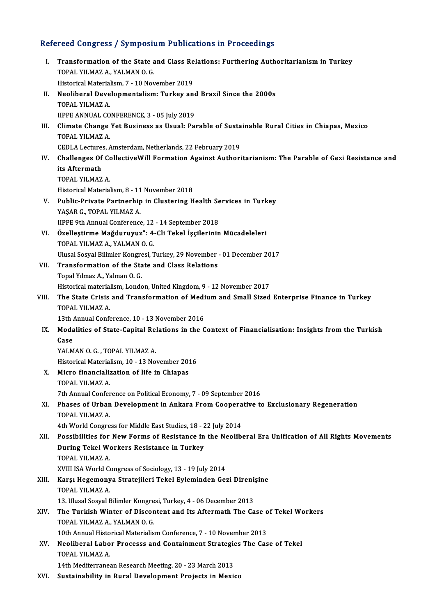# Refereed Congress / Symposium Publications in Proceedings<br>Refereed Congress / Symposium Publications in Proceedings

| Refereed Congress / Symposium Publications in Proceedings |                                                                                                                      |
|-----------------------------------------------------------|----------------------------------------------------------------------------------------------------------------------|
| L                                                         | Transformation of the State and Class Relations: Furthering Authoritarianism in Turkey<br>TOPAL YILMAZ A, YALMAN O G |
|                                                           | Historical Materialism, 7 - 10 November 2019                                                                         |
| П.                                                        | Neoliberal Developmentalism: Turkey and Brazil Since the 2000s                                                       |
|                                                           | TOPAL YILMAZ A                                                                                                       |
|                                                           | IIPPE ANNUAL CONFERENCE, 3 - 05 July 2019                                                                            |
| III.                                                      | Climate Change Yet Business as Usual: Parable of Sustainable Rural Cities in Chiapas, Mexico                         |
|                                                           | TOPAL YILMAZ A.                                                                                                      |
| IV.                                                       | CEDLA Lectures, Amsterdam, Netherlands, 22 February 2019                                                             |
|                                                           | Challenges Of CollectiveWill Formation Against Authoritarianism: The Parable of Gezi Resistance and<br>its Aftermath |
|                                                           | TOPAL YILMAZ A                                                                                                       |
|                                                           | Historical Materialism, 8 - 11 November 2018                                                                         |
| V.                                                        | Public-Private Partnerhip in Clustering Health Services in Turkey                                                    |
|                                                           | YAŞAR G., TOPAL YILMAZ A.                                                                                            |
|                                                           | IIPPE 9th Annual Conference, 12 - 14 September 2018                                                                  |
| VI.                                                       | Özelleştirme Mağduruyuz": 4-Cli Tekel İşçilerinin Mücadeleleri                                                       |
|                                                           | TOPAL YILMAZ A, YALMAN O. G.                                                                                         |
|                                                           | Ulusal Sosyal Bilimler Kongresi, Turkey, 29 November - 01 December 2017                                              |
| VII.                                                      | Transformation of the State and Class Relations                                                                      |
|                                                           | Topal Yılmaz A., Yalman O. G.                                                                                        |
|                                                           | Historical materialism, London, United Kingdom, 9 - 12 November 2017                                                 |
| VIII.                                                     | The State Crisis and Transformation of Medium and Small Sized Enterprise Finance in Turkey                           |
|                                                           | TOPAL YILMAZ A                                                                                                       |
|                                                           | 13th Annual Conference, 10 - 13 November 2016                                                                        |
| IX.                                                       | Modalities of State-Capital Relations in the Context of Financialisation: Insights from the Turkish                  |
|                                                           | Case                                                                                                                 |
|                                                           | YALMAN O. G., TOPAL YILMAZ A.                                                                                        |
|                                                           | Historical Materialism, 10 - 13 November 2016                                                                        |
| Х.                                                        | Micro financialization of life in Chiapas                                                                            |
|                                                           | TOPAL YILMAZ A.                                                                                                      |
|                                                           | 7th Annual Conference on Political Economy, 7 - 09 September 2016                                                    |
| XI.                                                       | Phases of Urban Development in Ankara From Cooperative to Exclusionary Regeneration                                  |
|                                                           | TOPAL YILMAZ A                                                                                                       |
|                                                           | 4th World Congress for Middle East Studies, 18 - 22 July 2014                                                        |
| XII.                                                      | Possibilities for New Forms of Resistance in the Neoliberal Era Unification of All Rights Movements                  |
|                                                           | During Tekel Workers Resistance in Turkey                                                                            |
|                                                           | TOPAL YILMAZ A<br>XVIII ISA World Congress of Sociology, 13 - 19 July 2014                                           |
| XIII.                                                     | Karşı Hegemonya Stratejileri Tekel Eyleminden Gezi Direnişine                                                        |
|                                                           | TOPAL YILMAZ A.                                                                                                      |
|                                                           | 13. Ulusal Sosyal Bilimler Kongresi, Turkey, 4 - 06 December 2013                                                    |
| XIV.                                                      | The Turkish Winter of Discontent and Its Aftermath The Case of Tekel Workers                                         |
|                                                           | TOPAL YILMAZ A., YALMAN O. G.                                                                                        |
|                                                           | 10th Annual Historical Materialism Conference, 7 - 10 November 2013                                                  |
| XV.                                                       | Neoliberal Labor Processs and Containment Strategies The Case of Tekel                                               |
|                                                           | TOPAL YILMAZ A                                                                                                       |
|                                                           | 14th Mediterranean Research Meeting, 20 - 23 March 2013                                                              |
| XVI.                                                      | Sustainability in Rural Development Projects in Mexico                                                               |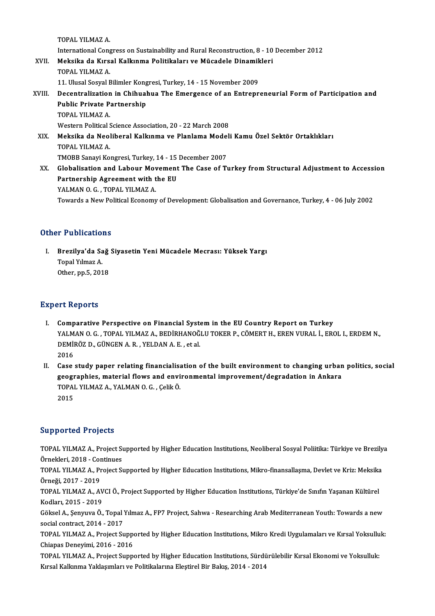TOPAL YILMAZ A.

TOPAL YILMAZ A.<br>International Congress on Sustainability and Rural Reconstruction, 8 - 10 December 2012<br>Maksika da Kuraal Kalkunma Balitikalaru ve Müsadele Dinamiklari

XVII. Meksika da Kırsal Kalkınma Politikaları ve Mücadele Dinamikleri<br>TOPAL YILMAZ A. International Cong<br>Meksika da Kırs<br>TOPAL YILMAZ A.<br>11 Ulusal Saaval E Meksika da Kırsal Kalkınma Politikaları ve Mücadele Dinamik<br>TOPAL YILMAZ A.<br>11. Ulusal Sosyal Bilimler Kongresi, Turkey, 14 - 15 November 2009<br>Desentralization in Chibuahua The Emergence of an Entrenr

### TOPAL YILMAZ A.<br>11. Ulusal Sosyal Bilimler Kongresi, Turkey, 14 - 15 November 2009<br>XVIII. Decentralization in Chihuahua The Emergence of an Entrepreneurial Form of Participation and<br>Public Private Partnership 11. Ulusal Sosyal Bilimler Kong<br>Decentralization in Chihual<br>Public Private Partnership<br>TOBAL VILMAZA Decentralization<br>Public Private P<br>TOPAL YILMAZ A.<br>Western Political S Public Private Partnership<br>TOPAL YILMAZ A.<br>Western Political Science Association, 20 - 22 March 2008<br>Meksika da Neolibaral Kalkınma ve Planlama Medali TOPAL YILMAZ A.<br>Western Political Science Association, 20 - 22 March 2008<br>XIX. Meksika da Neoliberal Kalkınma ve Planlama Modeli Kamu Özel Sektör Ortaklıkları<br>TOPAL YILMAZ A Western Political <mark>:</mark><br>**Meksika da Neo**l<br>TOPAL YILMAZ A.<br>TMOPP Sanavi Ko Meksika da Neoliberal Kalkınma ve Planlama Model<br>TOPAL YILMAZ A.<br>TMOBB Sanayi Kongresi, Turkey, 14 - 15 December 2007<br>Clabalisation and Labour Movement The Case of Tr TOPAL YILMAZ A.<br>TMOBB Sanayi Kongresi, Turkey, 14 - 15 December 2007<br>XX. Globalisation and Labour Movement The Case of Turkey from Structural Adjustment to Accession

TMOBB Sanayi Kongresi, Turkey, 14 - 15<br>Globalisation and Labour Movement<br>Partnership Agreement with the EU<br>YALMAN O.C. TOPAL VUMAZA Globalisation and Labour Mov<br>Partnership Agreement with t<br>YALMAN O. G. , TOPAL YILMAZ A.<br>Tourade e Now Political Economy YALMAN O. G. , TOPAL YILMAZ A.<br>Towards a New Political Economy of Development: Globalisation and Governance, Turkey, 4 - 06 July 2002

### Other Publications

ther Publications<br>I. Brezilya'da Sağ Siyasetin Yeni Mücadele Mecrası: Yüksek Yargı<br>Tanal Yılmaz A Topal<br>Brezilya'da Sa<br>Topal Yılmaz A.<br>Other nn 5,201 Brezil<mark>ya'da Sağ</mark><br>Topal Yılmaz A.<br>Other, pp.5, 2018 0ther, pp.5, 2018<br>Expert Reports

- Xpert Reports<br>I. Comparative Perspective on Financial System in the EU Country Report on Turkey<br>XALMAN O.G. TOPAL VILMAZ A. REDIRHANOČLIJ TOKER R. CÖMERT H. EREN VIRAL İ. ERC YAL NOPOTES<br>Comparative Perspective on Financial System in the EU Country Report on Turkey<br>YALMAN O. G. , TOPAL YILMAZ A., BEDİRHANOĞLU TOKER P., CÖMERT H., EREN VURAL İ., EROL I., ERDEM N.,<br>DEMİRÖZ D. GÜNCEN A. B., YELDAN Comparative Perspective on Financial Syst<br>YALMAN O.G., TOPAL YILMAZ A., BEDİRHANOĞ<br>DEMİRÖZ D., GÜNGEN A.R., YELDAN A.E., et al.<br>2016 YALM<br>DEMII<br>2016<br>Casa DEMİRÖZ D., GÜNGEN A. R., YELDAN A. E., et al.<br>2016<br>II. Case study paper relating financialisation of the built environment to changing urban politics, social<br>2003 recognabies, material flows and environmental improvement
- 2016<br>Case study paper relating financialisation of the built environment to changing urban<br>geographies, material flows and environmental improvement/degradation in Ankara<br>TORAL VUMAZ A, VALMAN O.G., CelikÖ Case study paper relating financialisa<br>geographies, material flows and envi<br>TOPAL YILMAZ A., YALMAN 0. G. , Çelik Ö.<br>2015 geogr<br>TOPAI<br>2015

## Supported Projects

TOPAL YILMAZ A., Project Supported by Higher Education Institutions, Neoliberal Sosyal Poliitika: Türkiye ve Brezilya Eupporteur Projects<br>TOPAL YILMAZ A., Project St<br>Örnekleri, 2018 - Continues<br>TOPAL YILMAZ A., Project St

TOPAL YILMAZ A., Project Supported by Higher Education Institutions, Mikro-finansallaşma, Devlet ve Kriz: Meksika<br>Örneği, 2017 - 2019 Örnekleri, 2018 - Cor<br>TOPAL YILMAZ A., Pr<br>Örneği, 2017 - 2019<br>TOPAL YILMAZ A. Al TOPAL YILMAZ A., Project Supported by Higher Education Institutions, Mikro-finansallaşma, Devlet ve Kriz: Meksika<br>Örneği, 2017 - 2019<br>TOPAL YILMAZ A., AVCI Ö., Project Supported by Higher Education Institutions, Türkiye'de

Örneği, 2017 - 2019<br>TOPAL YILMAZ A., AV<br>Kodları, 2015 - 2019<br>Cölrel A. Senmuz Ö TOPAL YILMAZ A., AVCI Ö., Project Supported by Higher Education Institutions, Türkiye'de Sınıfın Yaşanan Kültürel<br>Kodları, 2015 - 2019<br>Göksel A., Şenyuva Ö., Topal Yılmaz A., FP7 Project, Sahwa - Researching Arab Mediterra

Kodları, 2015 - 2019<br>Göksel A., Şenyuva Ö., Topal Yılmaz A., FP7 Project, Sahwa - Researching Arab Mediterranean Youth: Towards a new<br>social contract, 2014 - 2017 Göksel A., Şenyuva Ö., Topal Yılmaz A., FP7 Project, Sahwa - Researching Arab Mediterranean Youth: Towards a new<br>social contract, 2014 - 2017<br>TOPAL YILMAZ A., Project Supported by Higher Education Institutions, Mikro Kredi

Social contract, 2014 - 2017<br>TOPAL YILMAZ A., Project Suppe<br>Chiapas Deneyimi, 2016 - 2016<br>TOPAL YILMAZ A. Project Suppe TOPAL YILMAZ A., Project Supported by Higher Education Institutions, Mikro Kredi Uygulamaları ve Kırsal Yoksullu<br>Chiapas Deneyimi, 2016 - 2016<br>TOPAL YILMAZ A., Project Supported by Higher Education Institutions, Sürdürüleb

Chiapas Deneyimi, 2016 - 2016<br>TOPAL YILMAZ A., Project Supported by Higher Education Institutions, Sürdü<br>Kırsal Kalkınma Yaklaşımları ve Politikalarına Eleştirel Bir Bakış, 2014 - 2014